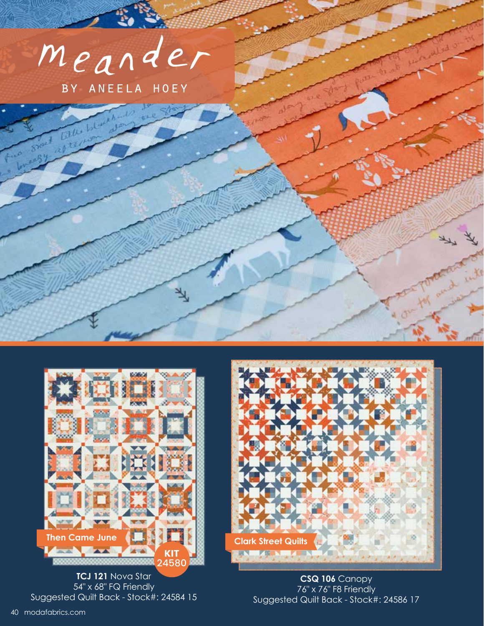



**TCJ 121** Nova Star 54" x 68" FQ Friendly Suggested Quilt Back - Stock#: 24584 15



**CSQ 106** Canopy 76" x 76" F8 Friendly Suggested Quilt Back - Stock#: 24586 17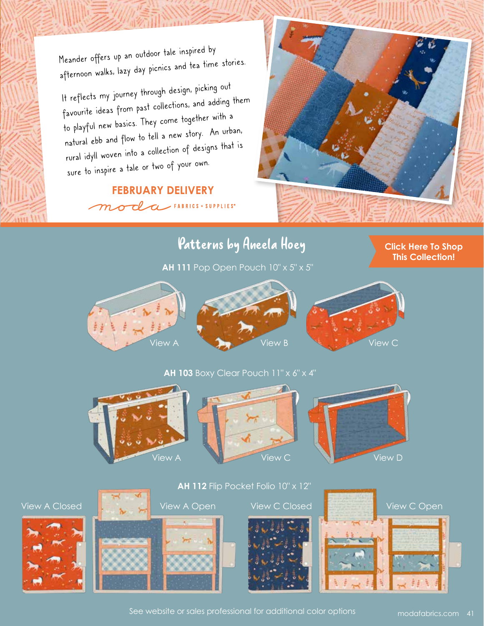Meander offers up an outdoor tale inspired by afternoon walks, lazy day picnics and tea time stories.

It reflects my journey through design, picking out favourite ideas from past collections, and adding them to playful new basics. They come together with a natural ebb and flow to tell a new story. An urban, rural idyll woven into a collection of designs that is sure to inspire a tale or two of your own.

### **FEBRUARY DELIVERY** moda FABRICS + SUPPLIES



### Patterns by Aneela Hoey

**AH 111** Pop Open Pouch 10" x 5" x 5"

#### **[Click Here To Shop](https://my.modafabrics.com/shop/s/Aneela_Hoey/Meander/) This Collection!**



#### **AH 103** Boxy Clear Pouch 11" x 6" x 4"





















See website or sales professional for additional color options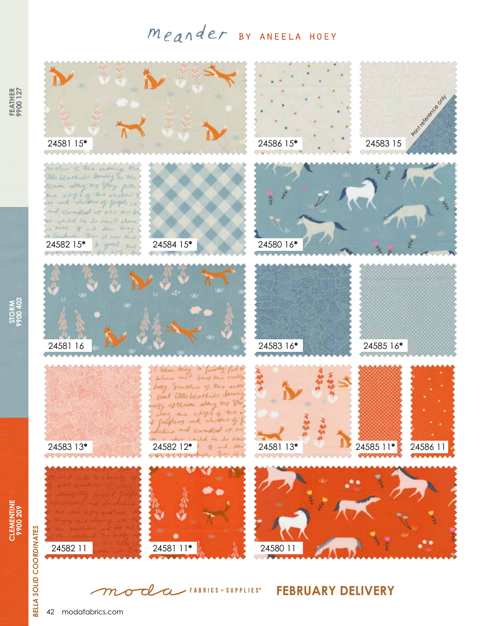# Meander BY ANEELA HOEY



**FEBRUARY DELIVERY** cl  $\angle$  FABRICS + SUPPLIES<sup>®</sup>  $\overline{\boldsymbol{\alpha}}$  ${\boldsymbol{\mathcal{m}}}$  $\boldsymbol{\sigma}$ 

42 modafabrics.com

**STORM 9900 402**

> **CLEMENTINE 9900 209**

CLEMENTINE<br>9900 209